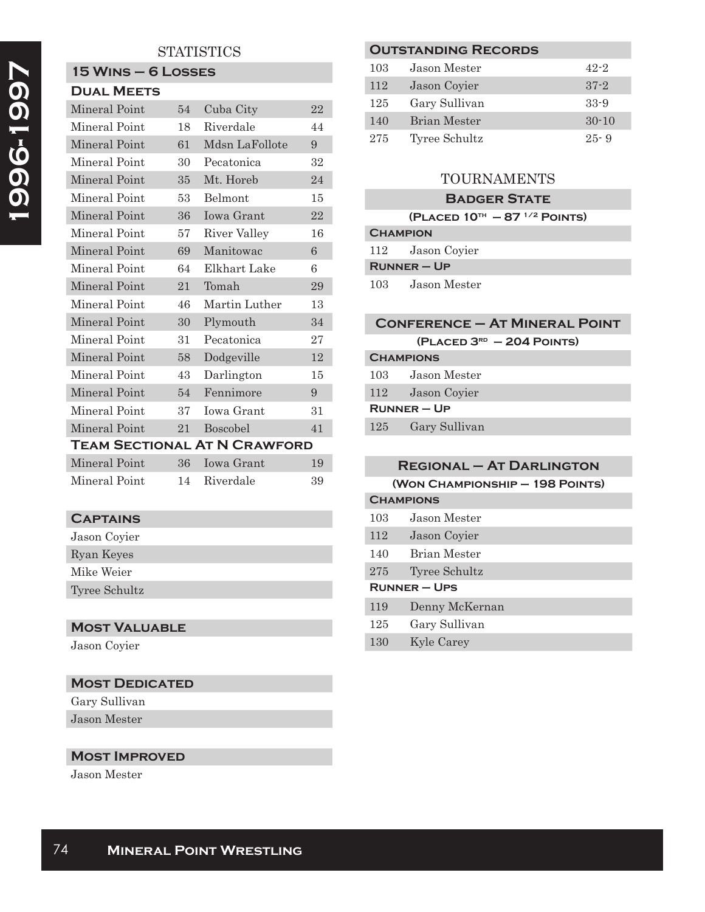# **STATISTICS**

#### **15 Wins – 6 Losses Dual Meets**

| DUAL MEE IS   |    |                                     |    |
|---------------|----|-------------------------------------|----|
| Mineral Point | 54 | Cuba City                           | 22 |
| Mineral Point | 18 | Riverdale                           | 44 |
| Mineral Point | 61 | Mdsn LaFollote                      | 9  |
| Mineral Point | 30 | Pecatonica                          | 32 |
| Mineral Point | 35 | Mt. Horeb                           | 24 |
| Mineral Point | 53 | Belmont                             | 15 |
| Mineral Point | 36 | <b>Iowa Grant</b>                   | 22 |
| Mineral Point | 57 | River Valley                        | 16 |
| Mineral Point | 69 | Manitowac                           | 6  |
| Mineral Point | 64 | Elkhart Lake                        | 6  |
| Mineral Point | 21 | Tomah                               | 29 |
| Mineral Point | 46 | Martin Luther                       | 13 |
| Mineral Point | 30 | Plymouth                            | 34 |
| Mineral Point | 31 | Pecatonica                          | 27 |
| Mineral Point | 58 | Dodgeville                          | 12 |
| Mineral Point | 43 | Darlington                          | 15 |
| Mineral Point | 54 | Fennimore                           | 9  |
| Mineral Point | 37 | Iowa Grant                          | 31 |
| Mineral Point | 21 | <b>Boscobel</b>                     | 41 |
|               |    | <b>TEAM SECTIONAL AT N CRAWFORD</b> |    |
| Mineral Point | 36 | <b>Iowa Grant</b>                   | 19 |

| Mineral Point | 14 Riverdale | 39 |
|---------------|--------------|----|
|               |              |    |

## **Captains**

| Jason Coyier  |
|---------------|
| Ryan Keyes    |
| Mike Weier    |
| Tyree Schultz |
|               |

# **Most Valuable**

Jason Coyier

### **Most Dedicated**

Gary Sullivan Jason Mester

### **Most Improved**

Jason Mester

|     | <b>OUTSTANDING RECORDS</b> |           |
|-----|----------------------------|-----------|
| 103 | Jason Mester               | $42 - 2$  |
| 112 | Jason Coyier               | $37 - 2$  |
| 125 | Gary Sullivan              | $33-9$    |
| 140 | Brian Mester               | $30 - 10$ |
| 275 | Tyree Schultz              | $25 - 9$  |
|     |                            |           |

# TOURNAMENTS

### **Badger State**

|                 | (PLACED $10^{th}$ – 87 <sup>1/2</sup> POINTS) |
|-----------------|-----------------------------------------------|
| <b>CHAMPION</b> |                                               |
|                 | 112 Jason Covier                              |
|                 | $R$ UNNER – UP                                |
| 103             | Jason Mester                                  |

### **Conference – At Mineral Point**

| (PLACED 3 <sup>RD</sup> - 204 POINTS) |                |
|---------------------------------------|----------------|
| <b>CHAMPIONS</b>                      |                |
| 103                                   | Jason Mester   |
| 112                                   | Jason Covier   |
|                                       | $R$ UNNER – UP |
| 125                                   | Gary Sullivan  |
|                                       |                |

|                   | <b>REGIONAL - AT DARLINGTON</b> |                     |  |
|-------------------|---------------------------------|---------------------|--|
|                   | (WON CHAMPIONSHIP - 198 POINTS) |                     |  |
|                   | <b>CHAMPIONS</b>                |                     |  |
|                   | 103                             | Jason Mester        |  |
|                   | 112                             | Jason Covier        |  |
|                   | 140                             | <b>Brian Mester</b> |  |
|                   | 275                             | Tyree Schultz       |  |
| <b>RUNNER-UPS</b> |                                 |                     |  |
|                   | 119                             | Denny McKernan      |  |
|                   | 125                             | Gary Sullivan       |  |
|                   | 130                             | Kyle Carey          |  |
|                   |                                 |                     |  |